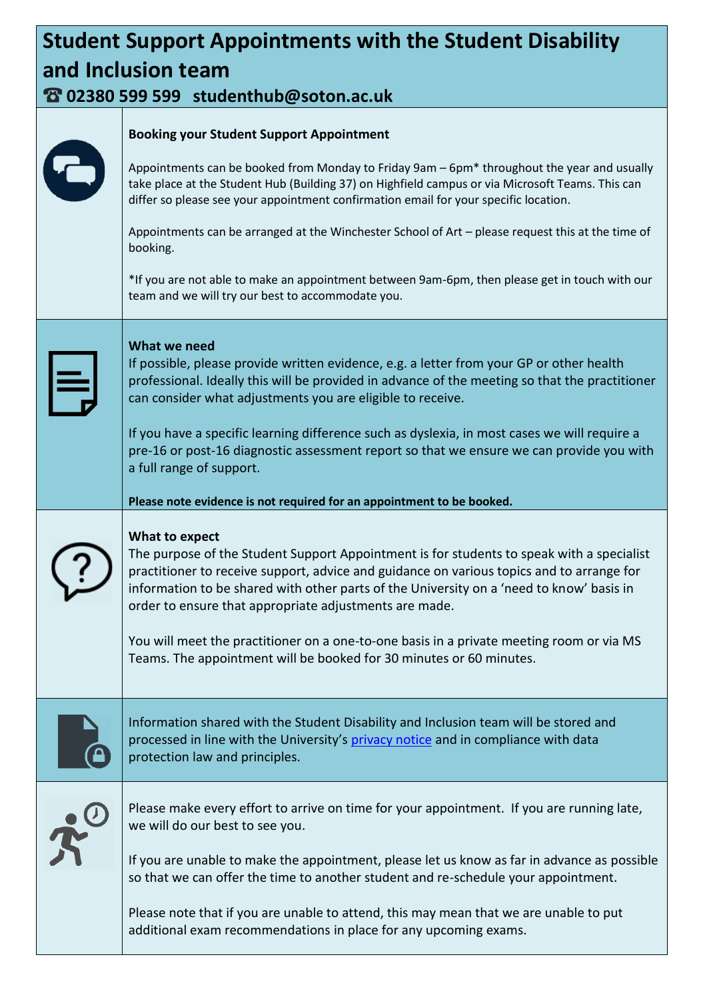## **Student Support Appointments with the Student Disability and Inclusion team**

## **02380 599 599 studenthub@soton.ac.uk**

|           | <b>Booking your Student Support Appointment</b>                                                                                                                                                                                                                                                                                                                                                                                                                                                                                   |  |
|-----------|-----------------------------------------------------------------------------------------------------------------------------------------------------------------------------------------------------------------------------------------------------------------------------------------------------------------------------------------------------------------------------------------------------------------------------------------------------------------------------------------------------------------------------------|--|
|           | Appointments can be booked from Monday to Friday 9am - 6pm* throughout the year and usually<br>take place at the Student Hub (Building 37) on Highfield campus or via Microsoft Teams. This can<br>differ so please see your appointment confirmation email for your specific location.                                                                                                                                                                                                                                           |  |
|           | Appointments can be arranged at the Winchester School of Art - please request this at the time of<br>booking.                                                                                                                                                                                                                                                                                                                                                                                                                     |  |
|           | *If you are not able to make an appointment between 9am-6pm, then please get in touch with our<br>team and we will try our best to accommodate you.                                                                                                                                                                                                                                                                                                                                                                               |  |
|           | What we need                                                                                                                                                                                                                                                                                                                                                                                                                                                                                                                      |  |
| $ \equiv$ | If possible, please provide written evidence, e.g. a letter from your GP or other health<br>professional. Ideally this will be provided in advance of the meeting so that the practitioner<br>can consider what adjustments you are eligible to receive.                                                                                                                                                                                                                                                                          |  |
|           | If you have a specific learning difference such as dyslexia, in most cases we will require a<br>pre-16 or post-16 diagnostic assessment report so that we ensure we can provide you with<br>a full range of support.                                                                                                                                                                                                                                                                                                              |  |
|           | Please note evidence is not required for an appointment to be booked.                                                                                                                                                                                                                                                                                                                                                                                                                                                             |  |
|           | What to expect<br>The purpose of the Student Support Appointment is for students to speak with a specialist<br>practitioner to receive support, advice and guidance on various topics and to arrange for<br>information to be shared with other parts of the University on a 'need to know' basis in<br>order to ensure that appropriate adjustments are made.<br>You will meet the practitioner on a one-to-one basis in a private meeting room or via MS<br>Teams. The appointment will be booked for 30 minutes or 60 minutes. |  |
|           | Information shared with the Student Disability and Inclusion team will be stored and<br>processed in line with the University's privacy notice and in compliance with data<br>protection law and principles.                                                                                                                                                                                                                                                                                                                      |  |
|           |                                                                                                                                                                                                                                                                                                                                                                                                                                                                                                                                   |  |
|           | Please make every effort to arrive on time for your appointment. If you are running late,<br>we will do our best to see you.                                                                                                                                                                                                                                                                                                                                                                                                      |  |
|           | If you are unable to make the appointment, please let us know as far in advance as possible<br>so that we can offer the time to another student and re-schedule your appointment.                                                                                                                                                                                                                                                                                                                                                 |  |
|           | Please note that if you are unable to attend, this may mean that we are unable to put<br>additional exam recommendations in place for any upcoming exams.                                                                                                                                                                                                                                                                                                                                                                         |  |